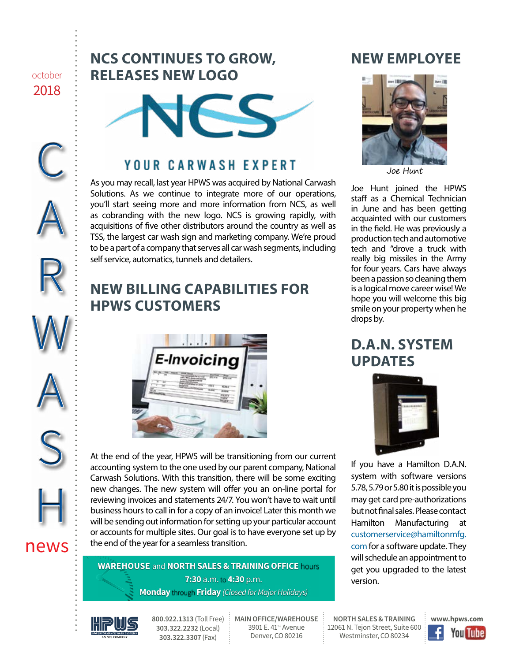october 2018

C

A

R

W

A

S

H

news

## **NCS CONTINUES TO GROW, RELEASES NEW LOGO**



## **YOUR CARWASH EXPERT**

As you may recall, last year HPWS was acquired by National Carwash Solutions. As we continue to integrate more of our operations, you'll start seeing more and more information from NCS, as well as cobranding with the new logo. NCS is growing rapidly, with acquisitions of five other distributors around the country as well as TSS, the largest car wash sign and marketing company. We're proud to be a part of a company that serves all car wash segments, including self service, automatics, tunnels and detailers.

# **NEW BILLING CAPABILITIES FOR HPWS CUSTOMERS**



At the end of the year, HPWS will be transitioning from our current accounting system to the one used by our parent company, National Carwash Solutions. With this transition, there will be some exciting new changes. The new system will offer you an on-line portal for reviewing invoices and statements 24/7. You won't have to wait until business hours to call in for a copy of an invoice! Later this month we will be sending out information for setting up your particular account or accounts for multiple sites. Our goal is to have everyone set up by the end of the year for a seamless transition.

**WAREHOUSE** and **NORTH SALES & TRAINING OFFICE** hours **7:30** a.m. to **4:30** p.m. **Monday** through **Friday** *(Closed for Major Holidays)*

## **NEW EMPLOYEE**



Joe Hunt

Joe Hunt joined the HPWS staff as a Chemical Technician in June and has been getting acquainted with our customers in the field. He was previously a production tech and automotive tech and "drove a truck with really big missiles in the Army for four years. Cars have always been a passion so cleaning them is a logical move career wise! We hope you will welcome this big smile on your property when he drops by.

## **D.A.N. SYSTEM UPDATES**



If you have a Hamilton D.A.N. system with software versions 5.78, 5.79 or 5.80 it is possible you may get card pre-authorizations but not final sales. Please contact Hamilton Manufacturing at [customerservice@hamiltonmfg.](mailto:customerservice%40hamiltonmfg.com?subject=) [com](mailto:customerservice%40hamiltonmfg.com?subject=) for a software update. They will schedule an appointment to get you upgraded to the latest version.



**800.922.1313** (Toll Free) **303.322.2232** (Local) **303.322.3307** (Fax)

**MAIN OFFICE/WAREHOUSE** 3901 E. 41<sup>st</sup> Avenue Denver, CO 80216

**NORTH SALES & TRAINING** 12061 N. Tejon Street, Suite 600 Westminster, CO 80234